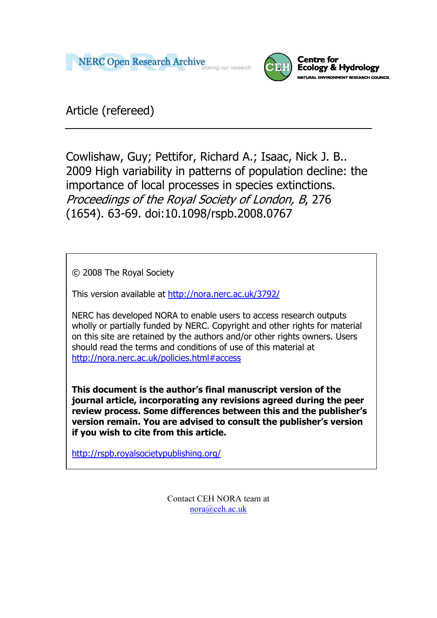



Article (refereed)

Cowlishaw, Guy; Pettifor, Richard A.; Isaac, Nick J. B.. 2009 High variability in patterns of population decline: the importance of local processes in species extinctions. Proceedings of the Royal Society of London, B, 276 (1654). 63-69. doi:10.1098/rspb.2008.0767

© 2008 The Royal Society

This version available at<http://nora.nerc.ac.uk/3792/>

NERC has developed NORA to enable users to access research outputs wholly or partially funded by NERC. Copyright and other rights for material on this site are retained by the authors and/or other rights owners. Users should read the terms and conditions of use of this material at <http://nora.nerc.ac.uk/policies.html#access>

**This document is the author's final manuscript version of the journal article, incorporating any revisions agreed during the peer review process. Some differences between this and the publisher's version remain. You are advised to consult the publisher's version if you wish to cite from this article.** 

<http://rspb.royalsocietypublishing.org/>

Contact CEH NORA team at [nora@ceh.ac.uk](mailto:nora@ceh.ac.uk)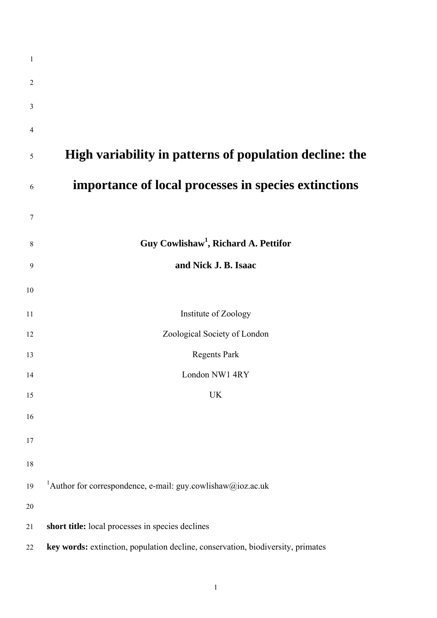| $\mathbf{1}$   |                                                                                 |
|----------------|---------------------------------------------------------------------------------|
| $\overline{2}$ |                                                                                 |
| 3              |                                                                                 |
| 4              |                                                                                 |
| 5              | High variability in patterns of population decline: the                         |
| 6              | importance of local processes in species extinctions                            |
| 7              |                                                                                 |
| 8              | Guy Cowlishaw <sup>1</sup> , Richard A. Pettifor                                |
| 9              | and Nick J. B. Isaac                                                            |
| 10             |                                                                                 |
| 11             | Institute of Zoology                                                            |
| 12             | Zoological Society of London                                                    |
| 13             | <b>Regents Park</b>                                                             |
| 14             | London NW1 4RY                                                                  |
| 15             | <b>UK</b>                                                                       |
| 16             |                                                                                 |
| 17             |                                                                                 |
| 18             |                                                                                 |
| 19             | <sup>1</sup> Author for correspondence, e-mail: guy.cowlishaw@ioz.ac.uk         |
| 20             |                                                                                 |
| 21             | short title: local processes in species declines                                |
| 22             | key words: extinction, population decline, conservation, biodiversity, primates |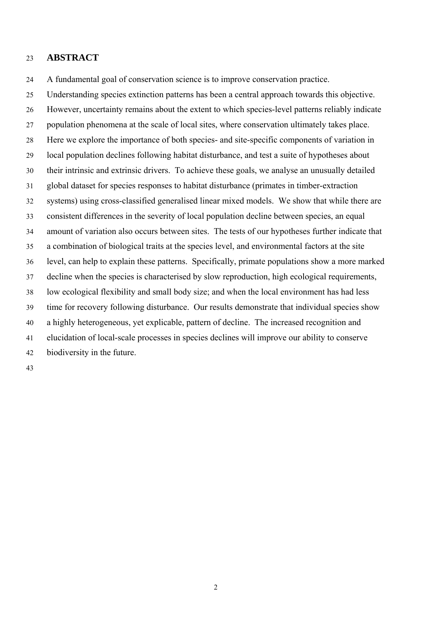# 23 **ABSTRACT**

24 A fundamental goal of conservation science is to improve conservation practice.

25 26 27 28 29 30 31 32 33 34 35 36 37 38 39 40 41 42 Understanding species extinction patterns has been a central approach towards this objective. However, uncertainty remains about the extent to which species-level patterns reliably indicate population phenomena at the scale of local sites, where conservation ultimately takes place. Here we explore the importance of both species- and site-specific components of variation in local population declines following habitat disturbance, and test a suite of hypotheses about their intrinsic and extrinsic drivers. To achieve these goals, we analyse an unusually detailed global dataset for species responses to habitat disturbance (primates in timber-extraction systems) using cross-classified generalised linear mixed models. We show that while there are consistent differences in the severity of local population decline between species, an equal amount of variation also occurs between sites. The tests of our hypotheses further indicate that a combination of biological traits at the species level, and environmental factors at the site level, can help to explain these patterns. Specifically, primate populations show a more marked decline when the species is characterised by slow reproduction, high ecological requirements, low ecological flexibility and small body size; and when the local environment has had less time for recovery following disturbance. Our results demonstrate that individual species show a highly heterogeneous, yet explicable, pattern of decline. The increased recognition and elucidation of local-scale processes in species declines will improve our ability to conserve biodiversity in the future.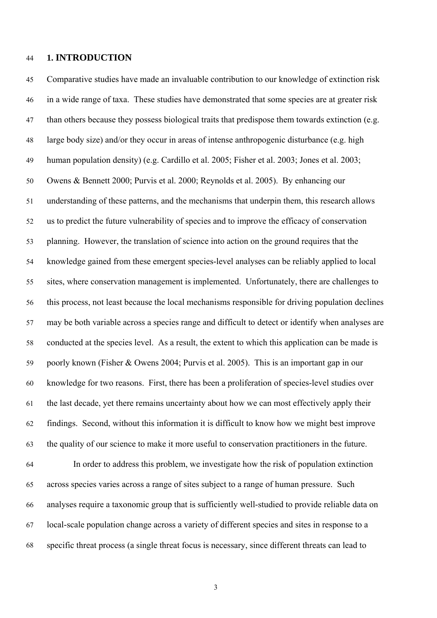## 44 **1. INTRODUCTION**

45 46 47 48 49 50 51 52 53 54 55 56 57 58 59 60 61 62 63 64 65 66 67 68 Comparative studies have made an invaluable contribution to our knowledge of extinction risk in a wide range of taxa. These studies have demonstrated that some species are at greater risk than others because they possess biological traits that predispose them towards extinction (e.g. large body size) and/or they occur in areas of intense anthropogenic disturbance (e.g. high human population density) (e.g. Cardillo et al. 2005; Fisher et al. 2003; Jones et al. 2003; Owens & Bennett 2000; Purvis et al. 2000; Reynolds et al. 2005). By enhancing our understanding of these patterns, and the mechanisms that underpin them, this research allows us to predict the future vulnerability of species and to improve the efficacy of conservation planning. However, the translation of science into action on the ground requires that the knowledge gained from these emergent species-level analyses can be reliably applied to local sites, where conservation management is implemented. Unfortunately, there are challenges to this process, not least because the local mechanisms responsible for driving population declines may be both variable across a species range and difficult to detect or identify when analyses are conducted at the species level. As a result, the extent to which this application can be made is poorly known (Fisher & Owens 2004; Purvis et al. 2005). This is an important gap in our knowledge for two reasons. First, there has been a proliferation of species-level studies over the last decade, yet there remains uncertainty about how we can most effectively apply their findings. Second, without this information it is difficult to know how we might best improve the quality of our science to make it more useful to conservation practitioners in the future. In order to address this problem, we investigate how the risk of population extinction across species varies across a range of sites subject to a range of human pressure. Such analyses require a taxonomic group that is sufficiently well-studied to provide reliable data on local-scale population change across a variety of different species and sites in response to a specific threat process (a single threat focus is necessary, since different threats can lead to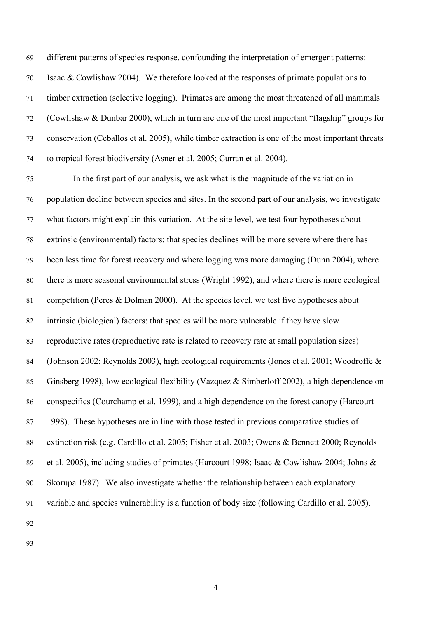different patterns of species response, confounding the interpretation of emergent patterns: Isaac & Cowlishaw 2004). We therefore looked at the responses of primate populations to timber extraction (selective logging). Primates are among the most threatened of all mammals (Cowlishaw & Dunbar 2000), which in turn are one of the most important "flagship" groups for conservation (Ceballos et al. 2005), while timber extraction is one of the most important threats to tropical forest biodiversity (Asner et al. 2005; Curran et al. 2004). 69 70 71 72 73 74

75 76 77 78 79 80 81 82 83 84 85 86 87 88 89 90 91 In the first part of our analysis, we ask what is the magnitude of the variation in population decline between species and sites. In the second part of our analysis, we investigate what factors might explain this variation. At the site level, we test four hypotheses about extrinsic (environmental) factors: that species declines will be more severe where there has been less time for forest recovery and where logging was more damaging (Dunn 2004), where there is more seasonal environmental stress (Wright 1992), and where there is more ecological competition (Peres & Dolman 2000). At the species level, we test five hypotheses about intrinsic (biological) factors: that species will be more vulnerable if they have slow reproductive rates (reproductive rate is related to recovery rate at small population sizes) (Johnson 2002; Reynolds 2003), high ecological requirements (Jones et al. 2001; Woodroffe & Ginsberg 1998), low ecological flexibility (Vazquez & Simberloff 2002), a high dependence on conspecifics (Courchamp et al. 1999), and a high dependence on the forest canopy (Harcourt 1998). These hypotheses are in line with those tested in previous comparative studies of extinction risk (e.g. Cardillo et al. 2005; Fisher et al. 2003; Owens & Bennett 2000; Reynolds et al. 2005), including studies of primates (Harcourt 1998; Isaac & Cowlishaw 2004; Johns & Skorupa 1987). We also investigate whether the relationship between each explanatory variable and species vulnerability is a function of body size (following Cardillo et al. 2005).

92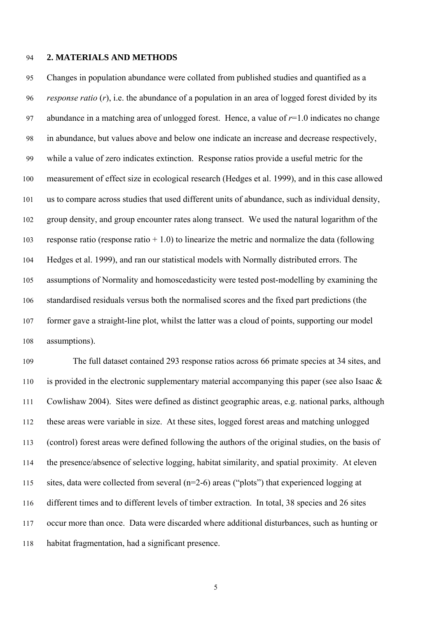## 94 **2. MATERIALS AND METHODS**

95 96 97 98 99 100 101 102 103 104 105 106 107 108 Changes in population abundance were collated from published studies and quantified as a *response ratio* (*r*), i.e. the abundance of a population in an area of logged forest divided by its abundance in a matching area of unlogged forest. Hence, a value of  $r=1.0$  indicates no change in abundance, but values above and below one indicate an increase and decrease respectively, while a value of zero indicates extinction. Response ratios provide a useful metric for the measurement of effect size in ecological research (Hedges et al. 1999), and in this case allowed us to compare across studies that used different units of abundance, such as individual density, group density, and group encounter rates along transect. We used the natural logarithm of the response ratio (response ratio  $+1.0$ ) to linearize the metric and normalize the data (following Hedges et al. 1999), and ran our statistical models with Normally distributed errors. The assumptions of Normality and homoscedasticity were tested post-modelling by examining the standardised residuals versus both the normalised scores and the fixed part predictions (the former gave a straight-line plot, whilst the latter was a cloud of points, supporting our model assumptions).

109 110 111 112 113 114 115 116 117 118 The full dataset contained 293 response ratios across 66 primate species at 34 sites, and is provided in the electronic supplementary material accompanying this paper (see also Isaac  $\&$ Cowlishaw 2004). Sites were defined as distinct geographic areas, e.g. national parks, although these areas were variable in size. At these sites, logged forest areas and matching unlogged (control) forest areas were defined following the authors of the original studies, on the basis of the presence/absence of selective logging, habitat similarity, and spatial proximity. At eleven sites, data were collected from several (n=2-6) areas ("plots") that experienced logging at different times and to different levels of timber extraction. In total, 38 species and 26 sites occur more than once. Data were discarded where additional disturbances, such as hunting or habitat fragmentation, had a significant presence.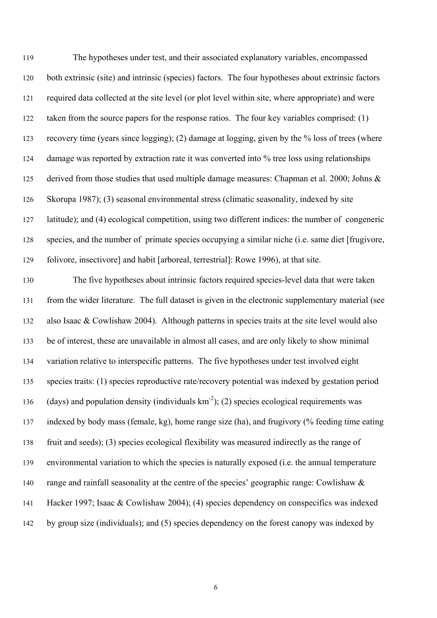The hypotheses under test, and their associated explanatory variables, encompassed both extrinsic (site) and intrinsic (species) factors. The four hypotheses about extrinsic factors required data collected at the site level (or plot level within site, where appropriate) and were taken from the source papers for the response ratios. The four key variables comprised: (1) recovery time (years since logging); (2) damage at logging, given by the % loss of trees (where damage was reported by extraction rate it was converted into % tree loss using relationships derived from those studies that used multiple damage measures: Chapman et al. 2000; Johns & Skorupa 1987); (3) seasonal environmental stress (climatic seasonality, indexed by site latitude); and (4) ecological competition, using two different indices: the number of congeneric species, and the number of primate species occupying a similar niche (i.e. same diet [frugivore, folivore, insectivore] and habit [arboreal, terrestrial]: Rowe 1996), at that site. 119 120 121 122 123 124 125 126 127 128 129

130 131 132 133 134 135 136 137 138 139 140 141 142 The five hypotheses about intrinsic factors required species-level data that were taken from the wider literature. The full dataset is given in the electronic supplementary material (see also Isaac & Cowlishaw 2004). Although patterns in species traits at the site level would also be of interest, these are unavailable in almost all cases, and are only likely to show minimal variation relative to interspecific patterns. The five hypotheses under test involved eight species traits: (1) species reproductive rate/recovery potential was indexed by gestation period (days) and population density (individuals  $km^{-2}$ ); (2) species ecological requirements was indexed by body mass (female, kg), home range size (ha), and frugivory (% feeding time eating fruit and seeds); (3) species ecological flexibility was measured indirectly as the range of environmental variation to which the species is naturally exposed (i.e. the annual temperature range and rainfall seasonality at the centre of the species' geographic range: Cowlishaw & Hacker 1997; Isaac & Cowlishaw 2004); (4) species dependency on conspecifics was indexed by group size (individuals); and (5) species dependency on the forest canopy was indexed by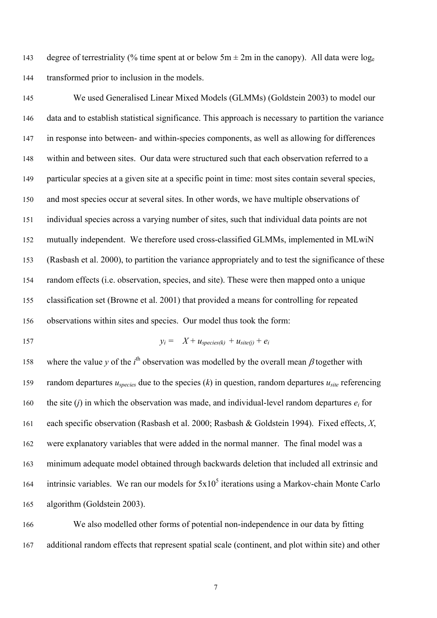degree of terrestriality (% time spent at or below  $5m \pm 2m$  in the canopy). All data were  $log_e$ transformed prior to inclusion in the models. 143 144

145 146 147 148 149 150 151 152 153 154 155 156 We used Generalised Linear Mixed Models (GLMMs) (Goldstein 2003) to model our data and to establish statistical significance. This approach is necessary to partition the variance in response into between- and within-species components, as well as allowing for differences within and between sites. Our data were structured such that each observation referred to a particular species at a given site at a specific point in time: most sites contain several species, and most species occur at several sites. In other words, we have multiple observations of individual species across a varying number of sites, such that individual data points are not mutually independent. We therefore used cross-classified GLMMs, implemented in MLwiN (Rasbash et al. 2000), to partition the variance appropriately and to test the significance of these random effects (i.e. observation, species, and site). These were then mapped onto a unique classification set (Browne et al. 2001) that provided a means for controlling for repeated observations within sites and species. Our model thus took the form:

157

$$
y_i = X + u_{species(k)} + u_{site(j)} + e_i
$$

158 159 160 161 162 163 164 165 where the value *y* of the  $i^{\text{th}}$  observation was modelled by the overall mean  $\beta$  together with random departures  $u_{species}$  due to the species  $(k)$  in question, random departures  $u_{site}$  referencing the site  $(i)$  in which the observation was made, and individual-level random departures  $e_i$  for each specific observation (Rasbash et al. 2000; Rasbash & Goldstein 1994). Fixed effects, *X*, were explanatory variables that were added in the normal manner. The final model was a minimum adequate model obtained through backwards deletion that included all extrinsic and intrinsic variables. We ran our models for  $5x10<sup>5</sup>$  iterations using a Markov-chain Monte Carlo algorithm (Goldstein 2003).

166 167 We also modelled other forms of potential non-independence in our data by fitting additional random effects that represent spatial scale (continent, and plot within site) and other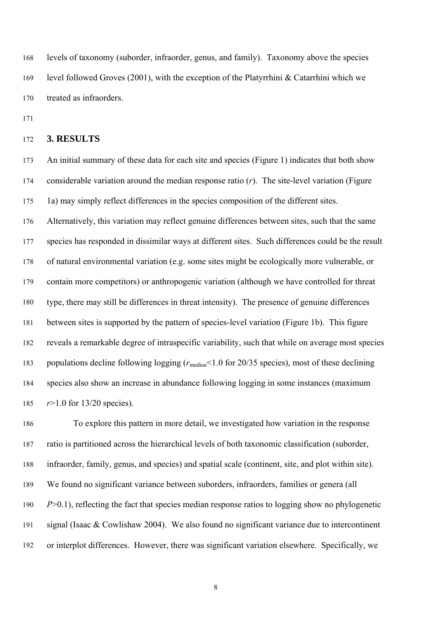levels of taxonomy (suborder, infraorder, genus, and family). Taxonomy above the species level followed Groves (2001), with the exception of the Platyrrhini & Catarrhini which we treated as infraorders. 168 169 170

171

#### 172 **3. RESULTS**

173 174 175 An initial summary of these data for each site and species (Figure 1) indicates that both show considerable variation around the median response ratio (*r*). The site-level variation (Figure 1a) may simply reflect differences in the species composition of the different sites.

176 177 178 179 180 181 182 183 184 185 Alternatively, this variation may reflect genuine differences between sites, such that the same species has responded in dissimilar ways at different sites. Such differences could be the result of natural environmental variation (e.g. some sites might be ecologically more vulnerable, or contain more competitors) or anthropogenic variation (although we have controlled for threat type, there may still be differences in threat intensity). The presence of genuine differences between sites is supported by the pattern of species-level variation (Figure 1b). This figure reveals a remarkable degree of intraspecific variability, such that while on average most species populations decline following logging ( $r_{\text{median}}$ <1.0 for 20/35 species), most of these declining species also show an increase in abundance following logging in some instances (maximum *r*>1.0 for 13/20 species).

186 187 188 189 190 191 192 To explore this pattern in more detail, we investigated how variation in the response ratio is partitioned across the hierarchical levels of both taxonomic classification (suborder, infraorder, family, genus, and species) and spatial scale (continent, site, and plot within site). We found no significant variance between suborders, infraorders, families or genera (all *P*>0.1), reflecting the fact that species median response ratios to logging show no phylogenetic signal (Isaac & Cowlishaw 2004). We also found no significant variance due to intercontinent or interplot differences. However, there was significant variation elsewhere. Specifically, we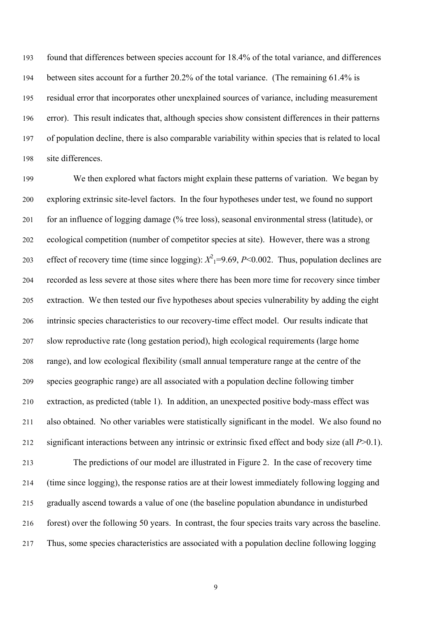found that differences between species account for 18.4% of the total variance, and differences between sites account for a further 20.2% of the total variance. (The remaining 61.4% is residual error that incorporates other unexplained sources of variance, including measurement error). This result indicates that, although species show consistent differences in their patterns of population decline, there is also comparable variability within species that is related to local site differences. 193 194 195 196 197 198

199 200 201 202 203 204 205 206 207 208 209 210 211 212 213 214 215 We then explored what factors might explain these patterns of variation. We began by exploring extrinsic site-level factors. In the four hypotheses under test, we found no support for an influence of logging damage (% tree loss), seasonal environmental stress (latitude), or ecological competition (number of competitor species at site). However, there was a strong effect of recovery time (time since logging):  $X^2$ <sub>1</sub>=9.69, *P*<0.002. Thus, population declines are recorded as less severe at those sites where there has been more time for recovery since timber extraction. We then tested our five hypotheses about species vulnerability by adding the eight intrinsic species characteristics to our recovery-time effect model. Our results indicate that slow reproductive rate (long gestation period), high ecological requirements (large home range), and low ecological flexibility (small annual temperature range at the centre of the species geographic range) are all associated with a population decline following timber extraction, as predicted (table 1). In addition, an unexpected positive body-mass effect was also obtained. No other variables were statistically significant in the model. We also found no significant interactions between any intrinsic or extrinsic fixed effect and body size (all *P*>0.1). The predictions of our model are illustrated in Figure 2. In the case of recovery time (time since logging), the response ratios are at their lowest immediately following logging and gradually ascend towards a value of one (the baseline population abundance in undisturbed

216 forest) over the following 50 years. In contrast, the four species traits vary across the baseline.

217 Thus, some species characteristics are associated with a population decline following logging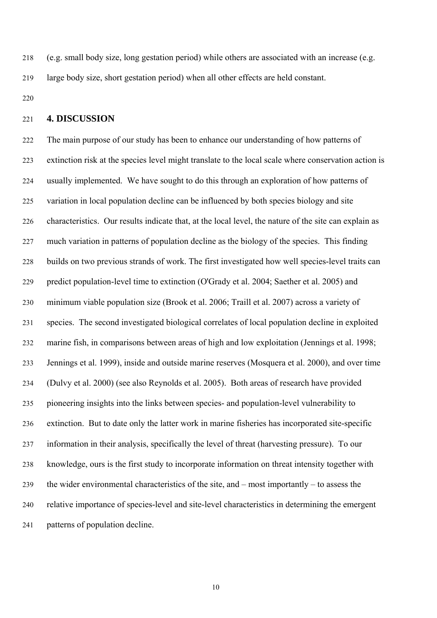(e.g. small body size, long gestation period) while others are associated with an increase (e.g. large body size, short gestation period) when all other effects are held constant. 218 219

220

#### 221 **4. DISCUSSION**

222 223 224 225 226 227 228 229 230 231 232 233 234 235 236 237 238 239 240 241 The main purpose of our study has been to enhance our understanding of how patterns of extinction risk at the species level might translate to the local scale where conservation action is usually implemented. We have sought to do this through an exploration of how patterns of variation in local population decline can be influenced by both species biology and site characteristics. Our results indicate that, at the local level, the nature of the site can explain as much variation in patterns of population decline as the biology of the species. This finding builds on two previous strands of work. The first investigated how well species-level traits can predict population-level time to extinction (O'Grady et al. 2004; Saether et al. 2005) and minimum viable population size (Brook et al. 2006; Traill et al. 2007) across a variety of species. The second investigated biological correlates of local population decline in exploited marine fish, in comparisons between areas of high and low exploitation (Jennings et al. 1998; Jennings et al. 1999), inside and outside marine reserves (Mosquera et al. 2000), and over time (Dulvy et al. 2000) (see also Reynolds et al. 2005). Both areas of research have provided pioneering insights into the links between species- and population-level vulnerability to extinction. But to date only the latter work in marine fisheries has incorporated site-specific information in their analysis, specifically the level of threat (harvesting pressure). To our knowledge, ours is the first study to incorporate information on threat intensity together with the wider environmental characteristics of the site, and – most importantly – to assess the relative importance of species-level and site-level characteristics in determining the emergent patterns of population decline.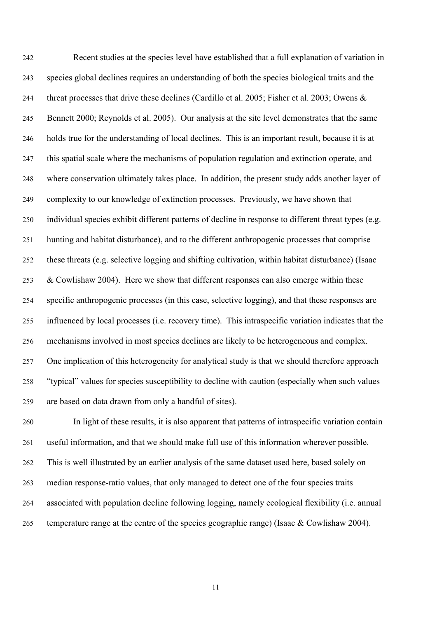Recent studies at the species level have established that a full explanation of variation in species global declines requires an understanding of both the species biological traits and the threat processes that drive these declines (Cardillo et al. 2005; Fisher et al. 2003; Owens & Bennett 2000; Reynolds et al. 2005). Our analysis at the site level demonstrates that the same holds true for the understanding of local declines. This is an important result, because it is at this spatial scale where the mechanisms of population regulation and extinction operate, and where conservation ultimately takes place. In addition, the present study adds another layer of complexity to our knowledge of extinction processes. Previously, we have shown that individual species exhibit different patterns of decline in response to different threat types (e.g. hunting and habitat disturbance), and to the different anthropogenic processes that comprise these threats (e.g. selective logging and shifting cultivation, within habitat disturbance) (Isaac & Cowlishaw 2004). Here we show that different responses can also emerge within these specific anthropogenic processes (in this case, selective logging), and that these responses are influenced by local processes (i.e. recovery time). This intraspecific variation indicates that the mechanisms involved in most species declines are likely to be heterogeneous and complex. One implication of this heterogeneity for analytical study is that we should therefore approach "typical" values for species susceptibility to decline with caution (especially when such values are based on data drawn from only a handful of sites). 242 243 244 245 246 247 248 249 250 251 252 253 254 255 256 257 258 259

260 261 262 263 264 265 In light of these results, it is also apparent that patterns of intraspecific variation contain useful information, and that we should make full use of this information wherever possible. This is well illustrated by an earlier analysis of the same dataset used here, based solely on median response-ratio values, that only managed to detect one of the four species traits associated with population decline following logging, namely ecological flexibility (i.e. annual temperature range at the centre of the species geographic range) (Isaac & Cowlishaw 2004).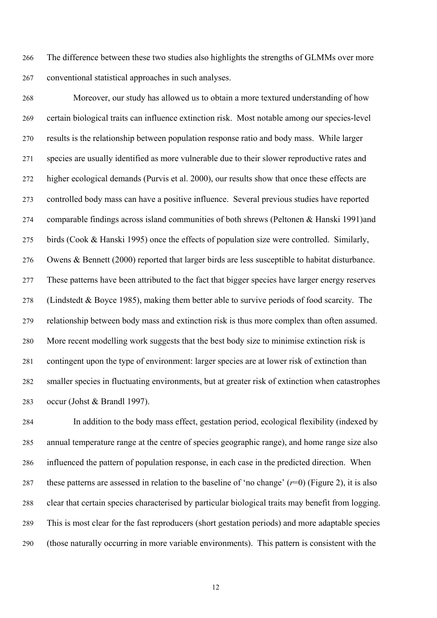The difference between these two studies also highlights the strengths of GLMMs over more conventional statistical approaches in such analyses. 266 267

268 269 270 271 272 273 274 275 276 277 278 279 280 281 282 283 Moreover, our study has allowed us to obtain a more textured understanding of how certain biological traits can influence extinction risk. Most notable among our species-level results is the relationship between population response ratio and body mass. While larger species are usually identified as more vulnerable due to their slower reproductive rates and higher ecological demands (Purvis et al. 2000), our results show that once these effects are controlled body mass can have a positive influence. Several previous studies have reported comparable findings across island communities of both shrews (Peltonen & Hanski 1991)and birds (Cook & Hanski 1995) once the effects of population size were controlled. Similarly, Owens & Bennett (2000) reported that larger birds are less susceptible to habitat disturbance. These patterns have been attributed to the fact that bigger species have larger energy reserves (Lindstedt & Boyce 1985), making them better able to survive periods of food scarcity. The relationship between body mass and extinction risk is thus more complex than often assumed. More recent modelling work suggests that the best body size to minimise extinction risk is contingent upon the type of environment: larger species are at lower risk of extinction than smaller species in fluctuating environments, but at greater risk of extinction when catastrophes occur (Johst & Brandl 1997).

284 285 286 287 288 289 290 In addition to the body mass effect, gestation period, ecological flexibility (indexed by annual temperature range at the centre of species geographic range), and home range size also influenced the pattern of population response, in each case in the predicted direction. When these patterns are assessed in relation to the baseline of 'no change' (*r*=0) (Figure 2), it is also clear that certain species characterised by particular biological traits may benefit from logging. This is most clear for the fast reproducers (short gestation periods) and more adaptable species (those naturally occurring in more variable environments). This pattern is consistent with the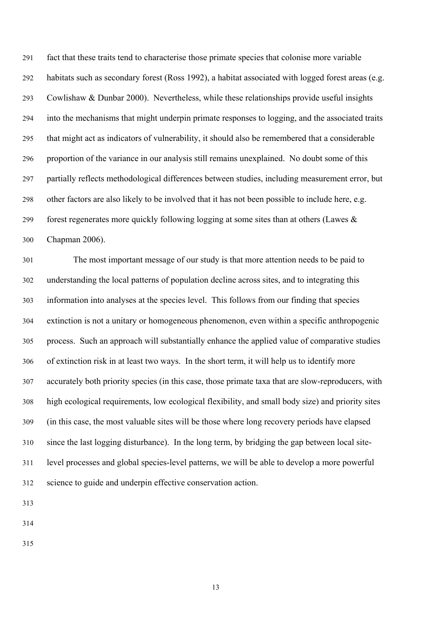fact that these traits tend to characterise those primate species that colonise more variable habitats such as secondary forest (Ross 1992), a habitat associated with logged forest areas (e.g. Cowlishaw & Dunbar 2000). Nevertheless, while these relationships provide useful insights into the mechanisms that might underpin primate responses to logging, and the associated traits that might act as indicators of vulnerability, it should also be remembered that a considerable proportion of the variance in our analysis still remains unexplained. No doubt some of this partially reflects methodological differences between studies, including measurement error, but other factors are also likely to be involved that it has not been possible to include here, e.g. forest regenerates more quickly following logging at some sites than at others (Lawes & Chapman 2006). 291 292 293 294 295 296 297 298 299 300

301 302 303 304 305 306 307 308 309 310 311 312 The most important message of our study is that more attention needs to be paid to understanding the local patterns of population decline across sites, and to integrating this information into analyses at the species level. This follows from our finding that species extinction is not a unitary or homogeneous phenomenon, even within a specific anthropogenic process. Such an approach will substantially enhance the applied value of comparative studies of extinction risk in at least two ways. In the short term, it will help us to identify more accurately both priority species (in this case, those primate taxa that are slow-reproducers, with high ecological requirements, low ecological flexibility, and small body size) and priority sites (in this case, the most valuable sites will be those where long recovery periods have elapsed since the last logging disturbance). In the long term, by bridging the gap between local sitelevel processes and global species-level patterns, we will be able to develop a more powerful science to guide and underpin effective conservation action.

313

314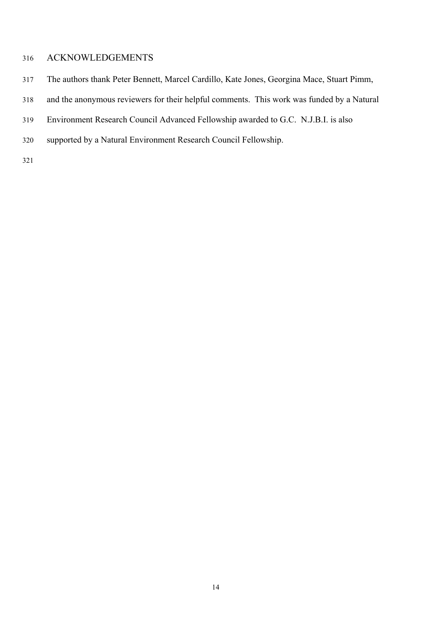# 316 ACKNOWLEDGEMENTS

- 317 The authors thank Peter Bennett, Marcel Cardillo, Kate Jones, Georgina Mace, Stuart Pimm,
- 318 and the anonymous reviewers for their helpful comments. This work was funded by a Natural
- 319 Environment Research Council Advanced Fellowship awarded to G.C. N.J.B.I. is also
- 320 supported by a Natural Environment Research Council Fellowship.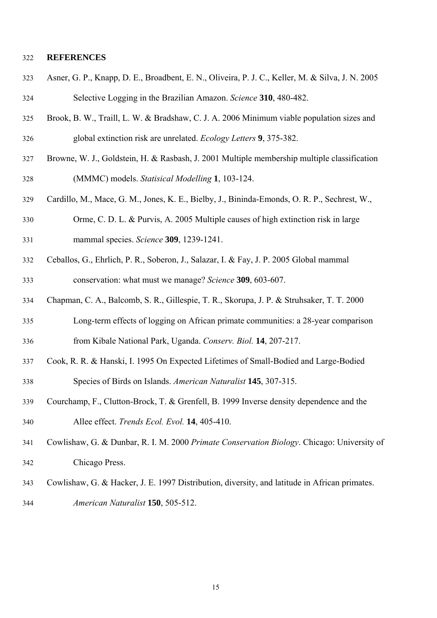### 322 **REFERENCES**

- 323 324 Asner, G. P., Knapp, D. E., Broadbent, E. N., Oliveira, P. J. C., Keller, M. & Silva, J. N. 2005 Selective Logging in the Brazilian Amazon. *Science* **310**, 480-482.
- 325 326 Brook, B. W., Traill, L. W. & Bradshaw, C. J. A. 2006 Minimum viable population sizes and global extinction risk are unrelated. *Ecology Letters* **9**, 375-382.
- 327 328 Browne, W. J., Goldstein, H. & Rasbash, J. 2001 Multiple membership multiple classification (MMMC) models. *Statisical Modelling* **1**, 103-124.
- 329 Cardillo, M., Mace, G. M., Jones, K. E., Bielby, J., Bininda-Emonds, O. R. P., Sechrest, W.,
- 330 331 Orme, C. D. L. & Purvis, A. 2005 Multiple causes of high extinction risk in large mammal species. *Science* **309**, 1239-1241.
- 332 333 Ceballos, G., Ehrlich, P. R., Soberon, J., Salazar, I. & Fay, J. P. 2005 Global mammal conservation: what must we manage? *Science* **309**, 603-607.
- 334 335 336 Chapman, C. A., Balcomb, S. R., Gillespie, T. R., Skorupa, J. P. & Struhsaker, T. T. 2000 Long-term effects of logging on African primate communities: a 28-year comparison from Kibale National Park, Uganda. *Conserv. Biol.* **14**, 207-217.
- 337 338 Cook, R. R. & Hanski, I. 1995 On Expected Lifetimes of Small-Bodied and Large-Bodied Species of Birds on Islands. *American Naturalist* **145**, 307-315.
- 339 340 Courchamp, F., Clutton-Brock, T. & Grenfell, B. 1999 Inverse density dependence and the Allee effect. *Trends Ecol. Evol.* **14**, 405-410.
- 341 342 Cowlishaw, G. & Dunbar, R. I. M. 2000 *Primate Conservation Biology*. Chicago: University of Chicago Press.
- 343 Cowlishaw, G. & Hacker, J. E. 1997 Distribution, diversity, and latitude in African primates.
- 344 *American Naturalist* **150**, 505-512.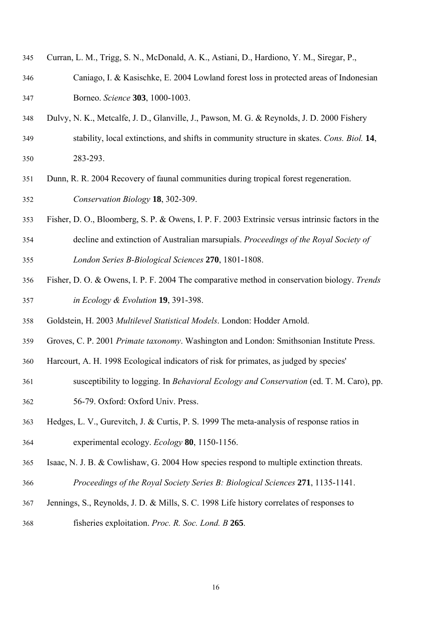- Curran, L. M., Trigg, S. N., McDonald, A. K., Astiani, D., Hardiono, Y. M., Siregar, P., 345
- Caniago, I. & Kasischke, E. 2004 Lowland forest loss in protected areas of Indonesian Borneo. *Science* **303**, 1000-1003. 346 347
- 348 Dulvy, N. K., Metcalfe, J. D., Glanville, J., Pawson, M. G. & Reynolds, J. D. 2000 Fishery
- 349 350 stability, local extinctions, and shifts in community structure in skates. *Cons. Biol.* **14**, 283-293.
- 351 352 Dunn, R. R. 2004 Recovery of faunal communities during tropical forest regeneration. *Conservation Biology* **18**, 302-309.
- 353 354 Fisher, D. O., Bloomberg, S. P. & Owens, I. P. F. 2003 Extrinsic versus intrinsic factors in the decline and extinction of Australian marsupials. *Proceedings of the Royal Society of*
- 355 *London Series B-Biological Sciences* **270**, 1801-1808.
- 356 357 Fisher, D. O. & Owens, I. P. F. 2004 The comparative method in conservation biology. *Trends in Ecology & Evolution* **19**, 391-398.
- 358 Goldstein, H. 2003 *Multilevel Statistical Models*. London: Hodder Arnold.
- 359 Groves, C. P. 2001 *Primate taxonomy*. Washington and London: Smithsonian Institute Press.
- 360 Harcourt, A. H. 1998 Ecological indicators of risk for primates, as judged by species'
- 361 susceptibility to logging. In *Behavioral Ecology and Conservation* (ed. T. M. Caro), pp.
- 362 56-79. Oxford: Oxford Univ. Press.
- 363 364 Hedges, L. V., Gurevitch, J. & Curtis, P. S. 1999 The meta-analysis of response ratios in experimental ecology. *Ecology* **80**, 1150-1156.
- 365 366 Isaac, N. J. B. & Cowlishaw, G. 2004 How species respond to multiple extinction threats. *Proceedings of the Royal Society Series B: Biological Sciences* **271**, 1135-1141.
- 367 368 Jennings, S., Reynolds, J. D. & Mills, S. C. 1998 Life history correlates of responses to fisheries exploitation. *Proc. R. Soc. Lond. B* **265**.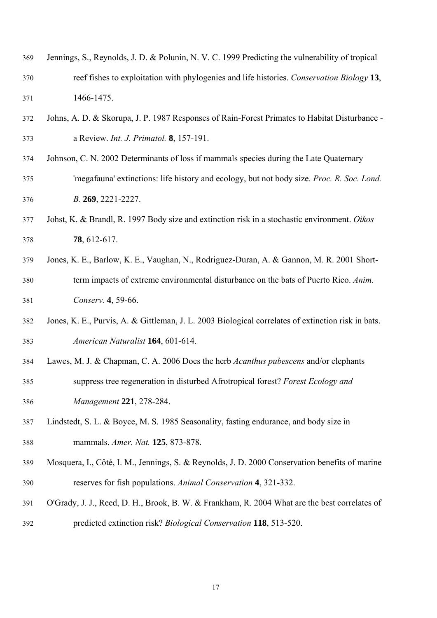| 369 | Jennings, S., Reynolds, J. D. & Polunin, N. V. C. 1999 Predicting the vulnerability of tropical |
|-----|-------------------------------------------------------------------------------------------------|
| 370 | reef fishes to exploitation with phylogenies and life histories. Conservation Biology 13,       |
| 371 | 1466-1475.                                                                                      |

- 372 373 Johns, A. D. & Skorupa, J. P. 1987 Responses of Rain-Forest Primates to Habitat Disturbance a Review. *Int. J. Primatol.* **8**, 157-191.
- 374 375 376 Johnson, C. N. 2002 Determinants of loss if mammals species during the Late Quaternary 'megafauna' extinctions: life history and ecology, but not body size. *Proc. R. Soc. Lond. B.* **269**, 2221-2227.
- 377 378 Johst, K. & Brandl, R. 1997 Body size and extinction risk in a stochastic environment. *Oikos* **78**, 612-617.
- 379 380 381 Jones, K. E., Barlow, K. E., Vaughan, N., Rodriguez-Duran, A. & Gannon, M. R. 2001 Shortterm impacts of extreme environmental disturbance on the bats of Puerto Rico. *Anim. Conserv.* **4**, 59-66.
- 382 383 Jones, K. E., Purvis, A. & Gittleman, J. L. 2003 Biological correlates of extinction risk in bats. *American Naturalist* **164**, 601-614.
- 384 385 386 Lawes, M. J. & Chapman, C. A. 2006 Does the herb *Acanthus pubescens* and/or elephants suppress tree regeneration in disturbed Afrotropical forest? *Forest Ecology and Management* **221**, 278-284.
- 387 388 Lindstedt, S. L. & Boyce, M. S. 1985 Seasonality, fasting endurance, and body size in mammals. *Amer. Nat.* **125**, 873-878.
- 389 390 Mosquera, I., Côté, I. M., Jennings, S. & Reynolds, J. D. 2000 Conservation benefits of marine reserves for fish populations. *Animal Conservation* **4**, 321-332.
- 391 392 O'Grady, J. J., Reed, D. H., Brook, B. W. & Frankham, R. 2004 What are the best correlates of predicted extinction risk? *Biological Conservation* **118**, 513-520.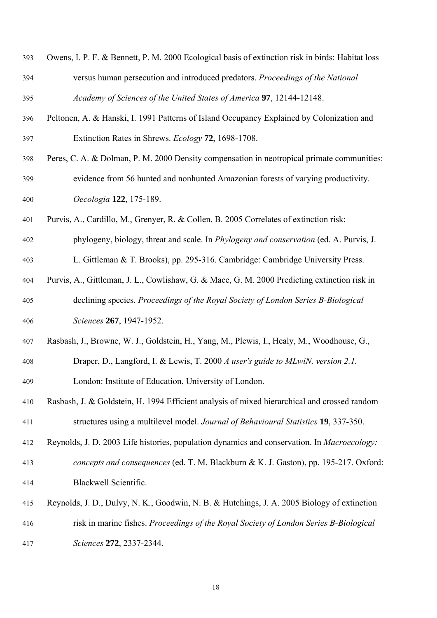| 393 | Owens, I. P. F. & Bennett, P. M. 2000 Ecological basis of extinction risk in birds: Habitat loss |
|-----|--------------------------------------------------------------------------------------------------|
| 394 | versus human persecution and introduced predators. Proceedings of the National                   |
| 395 | Academy of Sciences of the United States of America 97, 12144-12148.                             |

- 396 397 Peltonen, A. & Hanski, I. 1991 Patterns of Island Occupancy Explained by Colonization and Extinction Rates in Shrews. *Ecology* **72**, 1698-1708.
- 398 399 400 Peres, C. A. & Dolman, P. M. 2000 Density compensation in neotropical primate communities: evidence from 56 hunted and nonhunted Amazonian forests of varying productivity. *Oecologia* **122**, 175-189.
- 401 Purvis, A., Cardillo, M., Grenyer, R. & Collen, B. 2005 Correlates of extinction risk:
- 402 403 phylogeny, biology, threat and scale. In *Phylogeny and conservation* (ed. A. Purvis, J. L. Gittleman & T. Brooks), pp. 295-316. Cambridge: Cambridge University Press.
- 404 405 406 Purvis, A., Gittleman, J. L., Cowlishaw, G. & Mace, G. M. 2000 Predicting extinction risk in declining species. *Proceedings of the Royal Society of London Series B-Biological Sciences* **267**, 1947-1952.
- 407 408 409 Rasbash, J., Browne, W. J., Goldstein, H., Yang, M., Plewis, I., Healy, M., Woodhouse, G., Draper, D., Langford, I. & Lewis, T. 2000 *A user's guide to MLwiN, version 2.1.* London: Institute of Education, University of London.
- 410 411 Rasbash, J. & Goldstein, H. 1994 Efficient analysis of mixed hierarchical and crossed random structures using a multilevel model. *Journal of Behavioural Statistics* **19**, 337-350.
- 412 413 Reynolds, J. D. 2003 Life histories, population dynamics and conservation. In *Macroecology: concepts and consequences* (ed. T. M. Blackburn & K. J. Gaston), pp. 195-217. Oxford:
- 414 Blackwell Scientific.
- 415 416 417 Reynolds, J. D., Dulvy, N. K., Goodwin, N. B. & Hutchings, J. A. 2005 Biology of extinction risk in marine fishes. *Proceedings of the Royal Society of London Series B-Biological Sciences* **272**, 2337-2344.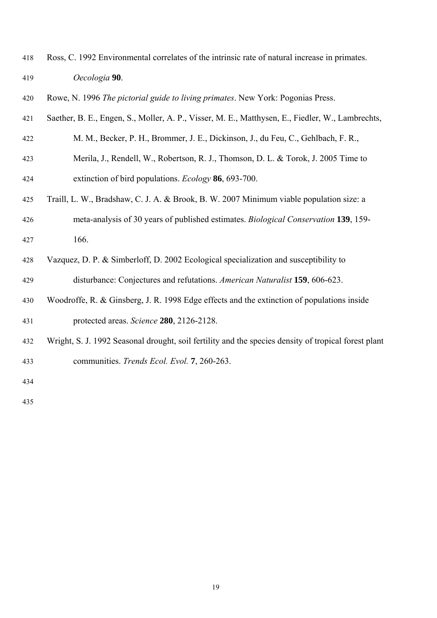- Ross, C. 1992 Environmental correlates of the intrinsic rate of natural increase in primates. *Oecologia* **90**. 418 419
- 420 Rowe, N. 1996 *The pictorial guide to living primates*. New York: Pogonias Press.
- 421 Saether, B. E., Engen, S., Moller, A. P., Visser, M. E., Matthysen, E., Fiedler, W., Lambrechts,
- 422 M. M., Becker, P. H., Brommer, J. E., Dickinson, J., du Feu, C., Gehlbach, F. R.,
- 423 424 Merila, J., Rendell, W., Robertson, R. J., Thomson, D. L. & Torok, J. 2005 Time to extinction of bird populations. *Ecology* **86**, 693-700.
- 425 Traill, L. W., Bradshaw, C. J. A. & Brook, B. W. 2007 Minimum viable population size: a
- 426 427 meta-analysis of 30 years of published estimates. *Biological Conservation* **139**, 159- 166.
- 428 429 Vazquez, D. P. & Simberloff, D. 2002 Ecological specialization and susceptibility to disturbance: Conjectures and refutations. *American Naturalist* **159**, 606-623.
- 430 431 Woodroffe, R. & Ginsberg, J. R. 1998 Edge effects and the extinction of populations inside protected areas. *Science* **280**, 2126-2128.
- 432 433 Wright, S. J. 1992 Seasonal drought, soil fertility and the species density of tropical forest plant communities. *Trends Ecol. Evol.* **7**, 260-263.

434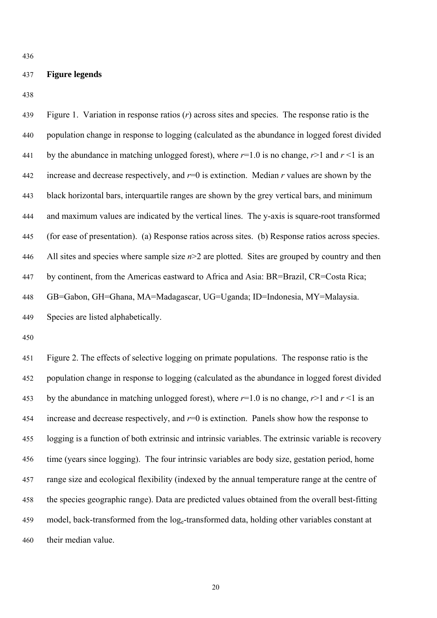436

#### 437 **Figure legends**

438

| 439 | Figure 1. Variation in response ratios $(r)$ across sites and species. The response ratio is the  |
|-----|---------------------------------------------------------------------------------------------------|
| 440 | population change in response to logging (calculated as the abundance in logged forest divided    |
| 441 | by the abundance in matching unlogged forest), where $r=1.0$ is no change, $r>1$ and $r<1$ is an  |
| 442 | increase and decrease respectively, and $r=0$ is extinction. Median r values are shown by the     |
| 443 | black horizontal bars, interquartile ranges are shown by the grey vertical bars, and minimum      |
| 444 | and maximum values are indicated by the vertical lines. The y-axis is square-root transformed     |
| 445 | (for ease of presentation). (a) Response ratios across sites. (b) Response ratios across species. |
| 446 | All sites and species where sample size $n>2$ are plotted. Sites are grouped by country and then  |
| 447 | by continent, from the Americas eastward to Africa and Asia: BR=Brazil, CR=Costa Rica;            |
| 448 | GB=Gabon, GH=Ghana, MA=Madagascar, UG=Uganda; ID=Indonesia, MY=Malaysia.                          |
| 449 | Species are listed alphabetically.                                                                |
| 450 |                                                                                                   |
| 451 | Figure 2. The effects of selective logging on primate populations. The response ratio is the      |
| 452 | population change in response to logging (calculated as the abundance in logged forest divided    |

453 454 455 456 457 458 459 460 by the abundance in matching unlogged forest), where  $r=1.0$  is no change,  $r>1$  and  $r<1$  is an increase and decrease respectively, and *r*=0 is extinction. Panels show how the response to logging is a function of both extrinsic and intrinsic variables. The extrinsic variable is recovery time (years since logging). The four intrinsic variables are body size, gestation period, home range size and ecological flexibility (indexed by the annual temperature range at the centre of the species geographic range). Data are predicted values obtained from the overall best-fitting model, back-transformed from the log<sub>e</sub>-transformed data, holding other variables constant at their median value.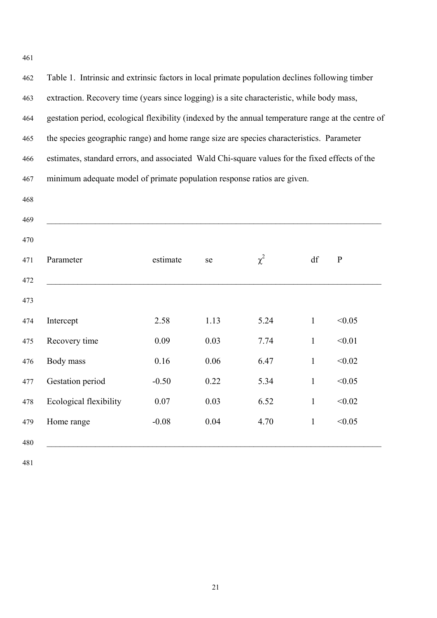462 463 464 465 466 467 468 469 470 471 472 473 474 475 476 477 478 479 480 Table 1. Intrinsic and extrinsic factors in local primate population declines following timber extraction. Recovery time (years since logging) is a site characteristic, while body mass, gestation period, ecological flexibility (indexed by the annual temperature range at the centre of the species geographic range) and home range size are species characteristics. Parameter estimates, standard errors, and associated Wald Chi-square values for the fixed effects of the minimum adequate model of primate population response ratios are given.  $\_$  , and the contribution of the contribution of the contribution of the contribution of  $\mathcal{L}_\mathcal{A}$ Parameter estimate se  $\chi^2$  df P  $\_$  , and the contribution of the contribution of the contribution of the contribution of  $\mathcal{L}_\mathcal{A}$ Intercept 2.58 1.13 5.24 1 <0.05 Recovery time 0.09 0.03 7.74 1 < 0.01 Body mass 0.16 0.06 6.47 1 < 0.02 Gestation period -0.50 0.22 5.34 1 <0.05 Ecological flexibility  $0.07$   $0.03$   $0.52$   $1$   $\leq 0.02$ Home range  $-0.08$   $0.04$   $4.70$   $1$   $<0.05$  $\_$  , and the contribution of the contribution of the contribution of the contribution of  $\mathcal{L}_\mathcal{A}$ 

481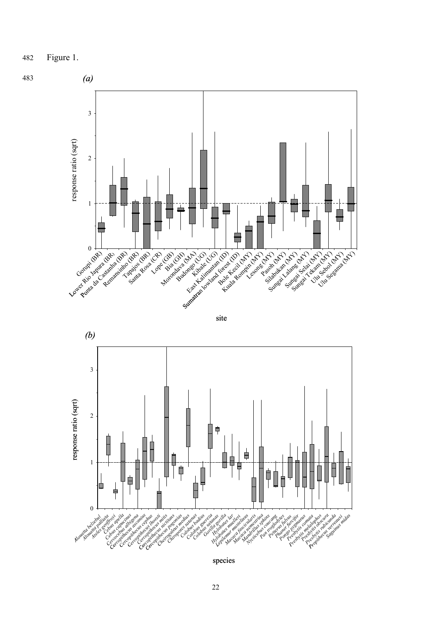482 Figure 1.

483







species